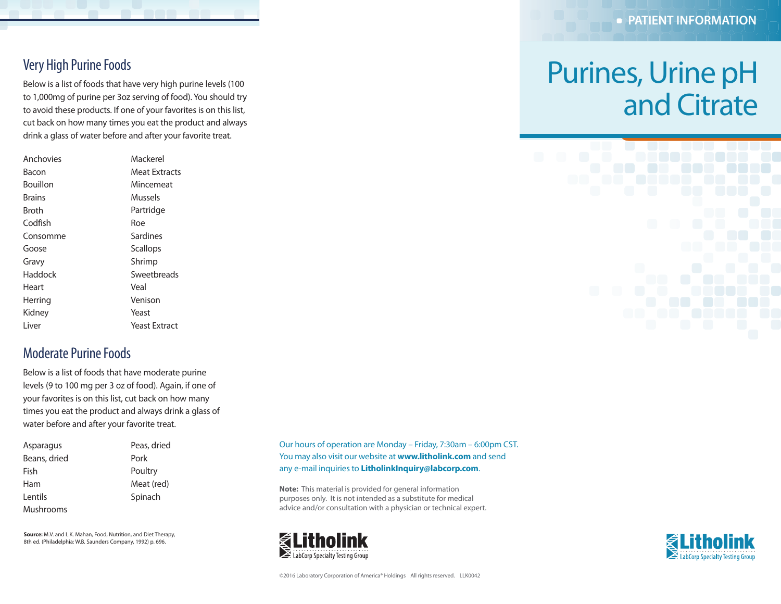#### Very High Purine Foods

Below is a list of foods that have very high purine levels (100 to 1,000mg of purine per 3oz serving of food). You should try to avoid these products. If one of your favorites is on this list, cut back on how many times you eat the product and always drink a glass of water before and after your favorite treat.

| Anchovies | Mackerel      |
|-----------|---------------|
| Bacon     | Meat Extracts |
| Bouillon  | Mincemeat     |
| Brains    | Mussels       |
| Broth     | Partridge     |
| Codfish   | Roe           |
| Consomme  | Sardines      |
| Goose     | Scallops      |
| Gravy     | Shrimp        |
| Haddock   | Sweetbreads   |
| Heart     | Veal          |
| Herring   | Venison       |
| Kidney    | Yeast         |
| Liver     | Yeast Extract |
|           |               |

## Moderate Purine Foods

Below is a list of foods that have moderate purine levels (9 to 100 mg per 3 oz of food). Again, if one of your favorites is on this list, cut back on how many times you eat the product and always drink a glass of water before and after your favorite treat.

| Asparagus    | Peas, dried |
|--------------|-------------|
| Beans, dried | Pork        |
| Fish         | Poultry     |
| Ham          | Meat (red)  |
| Lentils      | Spinach     |
| Mushrooms    |             |

**Source:** M.V. and L.K. Mahan, Food, Nutrition, and Diet Therapy, 8th ed. (Philadelphia: W.B. Saunders Company, 1992) p. 696.

Our hours of operation are Monday – Friday, 7:30am – 6:00pm CST. You may also visit our website at **www.litholink.com** and send any e-mail inquiries to **LitholinkInquiry@labcorp.com**.

**Note:** This material is provided for general information purposes only. It is not intended as a substitute for medical advice and/or consultation with a physician or technical expert.